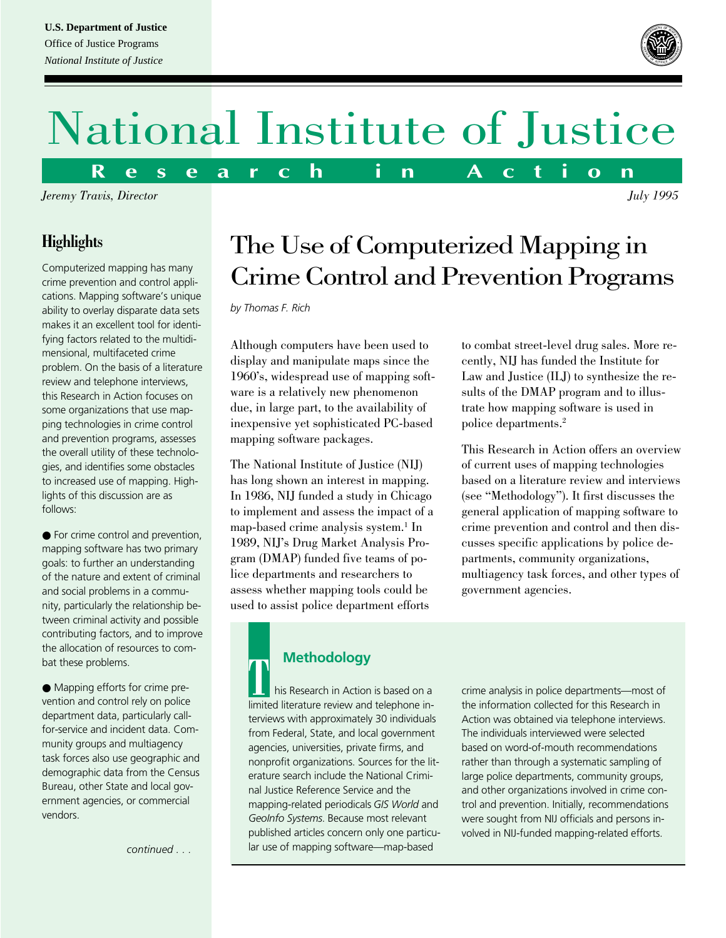

# National Institute of Justice

**R e s e a r c h i n A c t i o n**

*Jeremy Travis, Director July 1995*

### **Highlights**

Computerized mapping has many crime prevention and control applications. Mapping software's unique ability to overlay disparate data sets makes it an excellent tool for identifying factors related to the multidimensional, multifaceted crime problem. On the basis of a literature review and telephone interviews, this Research in Action focuses on some organizations that use mapping technologies in crime control and prevention programs, assesses the overall utility of these technologies, and identifies some obstacles to increased use of mapping. Highlights of this discussion are as follows:

● For crime control and prevention, mapping software has two primary goals: to further an understanding of the nature and extent of criminal and social problems in a community, particularly the relationship between criminal activity and possible contributing factors, and to improve the allocation of resources to combat these problems.

● Mapping efforts for crime prevention and control rely on police department data, particularly callfor-service and incident data. Community groups and multiagency task forces also use geographic and demographic data from the Census Bureau, other State and local government agencies, or commercial vendors.

*continued . . .*

### The Use of Computerized Mapping in Crime Control and Prevention Programs

*by Thomas F. Rich*

Although computers have been used to display and manipulate maps since the 1960's, widespread use of mapping software is a relatively new phenomenon due, in large part, to the availability of inexpensive yet sophisticated PC-based mapping software packages.

The National Institute of Justice (NIJ) has long shown an interest in mapping. In 1986, NIJ funded a study in Chicago to implement and assess the impact of a map-based crime analysis system.<sup>1</sup> In 1989, NIJ's Drug Market Analysis Program (DMAP) funded five teams of police departments and researchers to assess whether mapping tools could be used to assist police department efforts

to combat street-level drug sales. More recently, NIJ has funded the Institute for Law and Justice (ILJ) to synthesize the results of the DMAP program and to illustrate how mapping software is used in police departments.2

This Research in Action offers an overview of current uses of mapping technologies based on a literature review and interviews (see "Methodology"). It first discusses the general application of mapping software to crime prevention and control and then discusses specific applications by police departments, community organizations, multiagency task forces, and other types of government agencies.

**Methodology**<br>
his Research in Action is based on a<br> **Imited literature review and telephone in** limited literature review and telephone interviews with approximately 30 individuals from Federal, State, and local government agencies, universities, private firms, and nonprofit organizations. Sources for the literature search include the National Criminal Justice Reference Service and the mapping-related periodicals *GIS World* and *GeoInfo Systems*. Because most relevant published articles concern only one particular use of mapping software—map-based

crime analysis in police departments—most of the information collected for this Research in Action was obtained via telephone interviews. The individuals interviewed were selected based on word-of-mouth recommendations rather than through a systematic sampling of large police departments, community groups, and other organizations involved in crime control and prevention. Initially, recommendations were sought from NIJ officials and persons involved in NIJ-funded mapping-related efforts.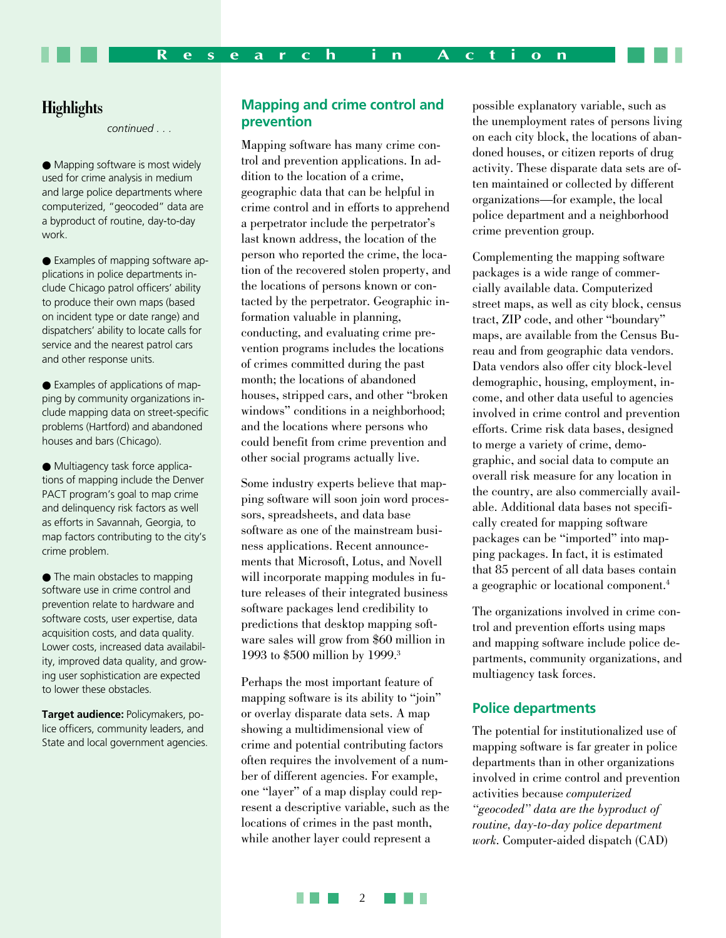#### **Highlights**

*continued . . .*

● Mapping software is most widely used for crime analysis in medium and large police departments where computerized, "geocoded" data are a byproduct of routine, day-to-day work.

● Examples of mapping software applications in police departments include Chicago patrol officers' ability to produce their own maps (based on incident type or date range) and dispatchers' ability to locate calls for service and the nearest patrol cars and other response units.

● Examples of applications of mapping by community organizations include mapping data on street-specific problems (Hartford) and abandoned houses and bars (Chicago).

● Multiagency task force applications of mapping include the Denver PACT program's goal to map crime and delinquency risk factors as well as efforts in Savannah, Georgia, to map factors contributing to the city's crime problem.

● The main obstacles to mapping software use in crime control and prevention relate to hardware and software costs, user expertise, data acquisition costs, and data quality. Lower costs, increased data availability, improved data quality, and growing user sophistication are expected to lower these obstacles.

**Target audience:** Policymakers, police officers, community leaders, and State and local government agencies.

#### **Mapping and crime control and prevention**

Mapping software has many crime control and prevention applications. In addition to the location of a crime, geographic data that can be helpful in crime control and in efforts to apprehend a perpetrator include the perpetrator's last known address, the location of the person who reported the crime, the location of the recovered stolen property, and the locations of persons known or contacted by the perpetrator. Geographic information valuable in planning, conducting, and evaluating crime prevention programs includes the locations of crimes committed during the past month; the locations of abandoned houses, stripped cars, and other "broken windows" conditions in a neighborhood; and the locations where persons who could benefit from crime prevention and other social programs actually live.

Some industry experts believe that mapping software will soon join word processors, spreadsheets, and data base software as one of the mainstream business applications. Recent announcements that Microsoft, Lotus, and Novell will incorporate mapping modules in future releases of their integrated business software packages lend credibility to predictions that desktop mapping software sales will grow from \$60 million in 1993 to \$500 million by 1999.3

Perhaps the most important feature of mapping software is its ability to "join" or overlay disparate data sets. A map showing a multidimensional view of crime and potential contributing factors often requires the involvement of a number of different agencies. For example, one "layer" of a map display could represent a descriptive variable, such as the locations of crimes in the past month, while another layer could represent a

possible explanatory variable, such as the unemployment rates of persons living on each city block, the locations of abandoned houses, or citizen reports of drug activity. These disparate data sets are often maintained or collected by different organizations—for example, the local police department and a neighborhood crime prevention group.

Complementing the mapping software packages is a wide range of commercially available data. Computerized street maps, as well as city block, census tract, ZIP code, and other "boundary" maps, are available from the Census Bureau and from geographic data vendors. Data vendors also offer city block-level demographic, housing, employment, income, and other data useful to agencies involved in crime control and prevention efforts. Crime risk data bases, designed to merge a variety of crime, demographic, and social data to compute an overall risk measure for any location in the country, are also commercially available. Additional data bases not specifically created for mapping software packages can be "imported" into mapping packages. In fact, it is estimated that 85 percent of all data bases contain a geographic or locational component.4

The organizations involved in crime control and prevention efforts using maps and mapping software include police departments, community organizations, and multiagency task forces.

#### **Police departments**

The potential for institutionalized use of mapping software is far greater in police departments than in other organizations involved in crime control and prevention activities because *computerized "geocoded" data are the byproduct of routine, day-to-day police department work*. Computer-aided dispatch (CAD)

**TELE** 2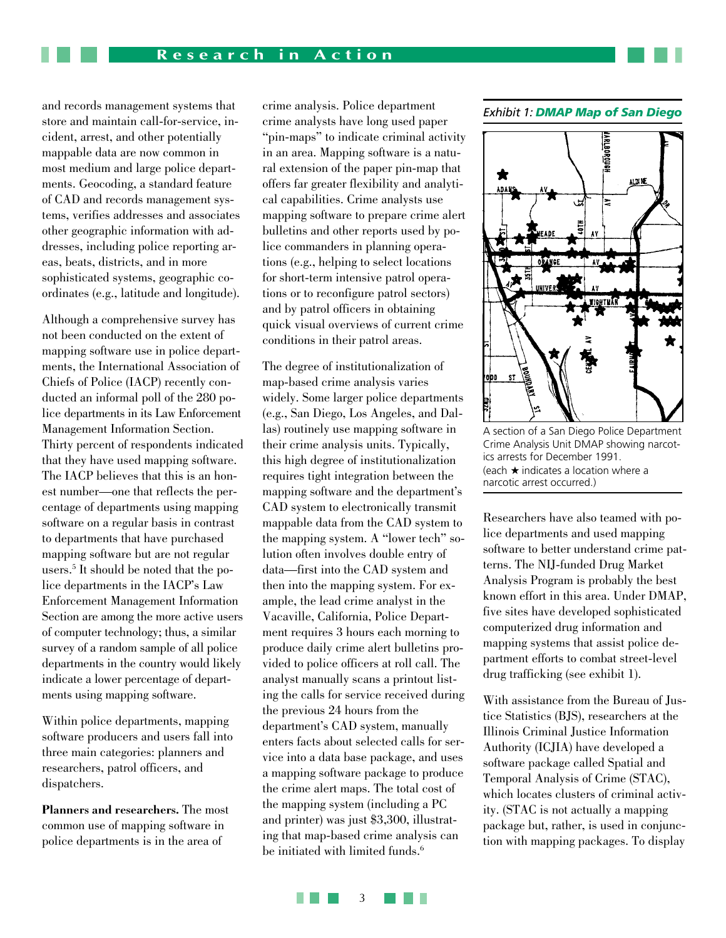and records management systems that store and maintain call-for-service, incident, arrest, and other potentially mappable data are now common in most medium and large police departments. Geocoding, a standard feature of CAD and records management systems, verifies addresses and associates other geographic information with addresses, including police reporting areas, beats, districts, and in more sophisticated systems, geographic coordinates (e.g., latitude and longitude).

Although a comprehensive survey has not been conducted on the extent of mapping software use in police departments, the International Association of Chiefs of Police (IACP) recently conducted an informal poll of the 280 police departments in its Law Enforcement Management Information Section. Thirty percent of respondents indicated that they have used mapping software. The IACP believes that this is an honest number—one that reflects the percentage of departments using mapping software on a regular basis in contrast to departments that have purchased mapping software but are not regular users.5 It should be noted that the police departments in the IACP's Law Enforcement Management Information Section are among the more active users of computer technology; thus, a similar survey of a random sample of all police departments in the country would likely indicate a lower percentage of departments using mapping software.

Within police departments, mapping software producers and users fall into three main categories: planners and researchers, patrol officers, and dispatchers.

**Planners and researchers.** The most common use of mapping software in police departments is in the area of

crime analysis. Police department crime analysts have long used paper "pin-maps" to indicate criminal activity in an area. Mapping software is a natural extension of the paper pin-map that offers far greater flexibility and analytical capabilities. Crime analysts use mapping software to prepare crime alert bulletins and other reports used by police commanders in planning operations (e.g., helping to select locations for short-term intensive patrol operations or to reconfigure patrol sectors) and by patrol officers in obtaining quick visual overviews of current crime conditions in their patrol areas.

The degree of institutionalization of map-based crime analysis varies widely. Some larger police departments (e.g., San Diego, Los Angeles, and Dallas) routinely use mapping software in their crime analysis units. Typically, this high degree of institutionalization requires tight integration between the mapping software and the department's CAD system to electronically transmit mappable data from the CAD system to the mapping system. A "lower tech" solution often involves double entry of data—first into the CAD system and then into the mapping system. For example, the lead crime analyst in the Vacaville, California, Police Department requires 3 hours each morning to produce daily crime alert bulletins provided to police officers at roll call. The analyst manually scans a printout listing the calls for service received during the previous 24 hours from the department's CAD system, manually enters facts about selected calls for service into a data base package, and uses a mapping software package to produce the crime alert maps. The total cost of the mapping system (including a PC and printer) was just \$3,300, illustrating that map-based crime analysis can be initiated with limited funds.<sup>6</sup>

#### *Exhibit 1: DMAP Map of San Diego*



A section of a San Diego Police Department Crime Analysis Unit DMAP showing narcotics arrests for December 1991. (each ★ indicates a location where a narcotic arrest occurred.)

Researchers have also teamed with police departments and used mapping software to better understand crime patterns. The NIJ-funded Drug Market Analysis Program is probably the best known effort in this area. Under DMAP, five sites have developed sophisticated computerized drug information and mapping systems that assist police department efforts to combat street-level drug trafficking (see exhibit 1).

With assistance from the Bureau of Justice Statistics (BJS), researchers at the Illinois Criminal Justice Information Authority (ICJIA) have developed a software package called Spatial and Temporal Analysis of Crime (STAC), which locates clusters of criminal activity. (STAC is not actually a mapping package but, rather, is used in conjunction with mapping packages. To display

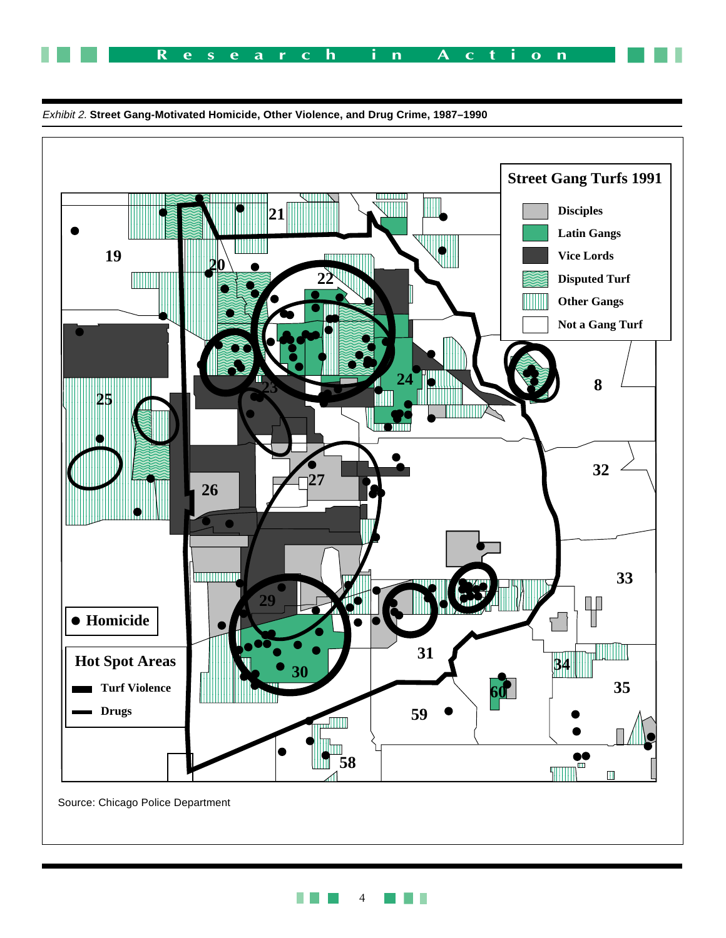



Exhibit 2. **Street Gang-Motivated Homicide, Other Violence, and Drug Crime, 1987–1990**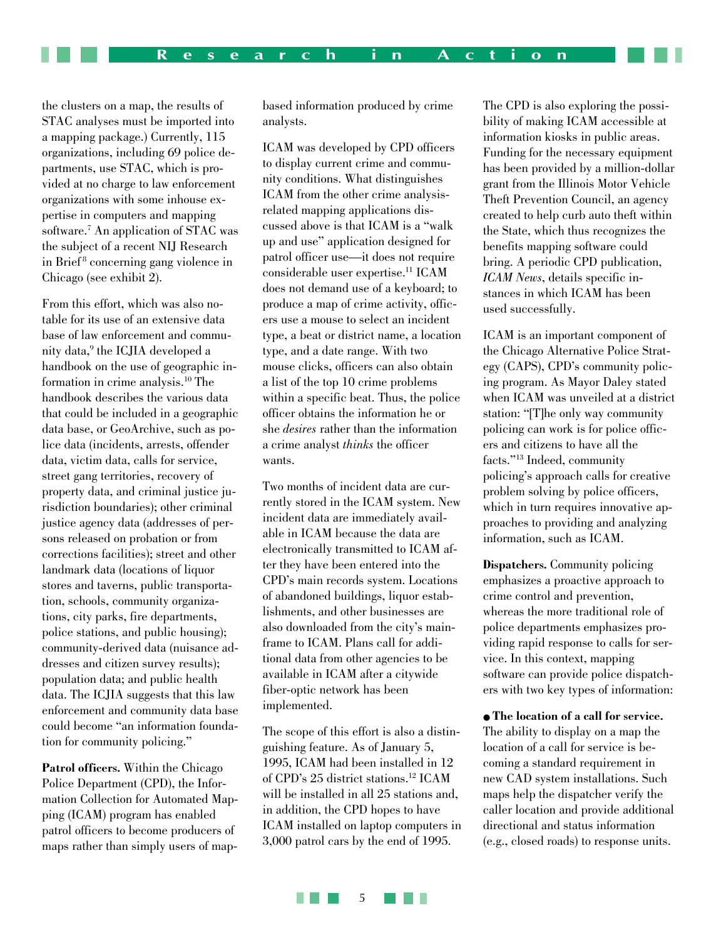the clusters on a map, the results of STAC analyses must be imported into a mapping package.) Currently, 115 organizations, including 69 police departments, use STAC, which is provided at no charge to law enforcement organizations with some inhouse expertise in computers and mapping software.<sup>7</sup> An application of STAC was the subject of a recent NIJ Research in Brief 8 concerning gang violence in Chicago (see exhibit 2).

From this effort, which was also notable for its use of an extensive data base of law enforcement and community data,<sup>9</sup> the ICJIA developed a handbook on the use of geographic information in crime analysis.10 The handbook describes the various data that could be included in a geographic data base, or GeoArchive, such as police data (incidents, arrests, offender data, victim data, calls for service, street gang territories, recovery of property data, and criminal justice jurisdiction boundaries); other criminal justice agency data (addresses of persons released on probation or from corrections facilities); street and other landmark data (locations of liquor stores and taverns, public transportation, schools, community organizations, city parks, fire departments, police stations, and public housing); community-derived data (nuisance addresses and citizen survey results); population data; and public health data. The ICJIA suggests that this law enforcement and community data base could become "an information foundation for community policing."

**Patrol officers.** Within the Chicago Police Department (CPD), the Information Collection for Automated Mapping (ICAM) program has enabled patrol officers to become producers of maps rather than simply users of mapbased information produced by crime analysts.

ICAM was developed by CPD officers to display current crime and community conditions. What distinguishes ICAM from the other crime analysisrelated mapping applications discussed above is that ICAM is a "walk up and use" application designed for patrol officer use—it does not require considerable user expertise.11 ICAM does not demand use of a keyboard; to produce a map of crime activity, officers use a mouse to select an incident type, a beat or district name, a location type, and a date range. With two mouse clicks, officers can also obtain a list of the top 10 crime problems within a specific beat. Thus, the police officer obtains the information he or she *desires* rather than the information a crime analyst *thinks* the officer wants.

Two months of incident data are currently stored in the ICAM system. New incident data are immediately available in ICAM because the data are electronically transmitted to ICAM after they have been entered into the CPD's main records system. Locations of abandoned buildings, liquor establishments, and other businesses are also downloaded from the city's mainframe to ICAM. Plans call for additional data from other agencies to be available in ICAM after a citywide fiber-optic network has been implemented.

The scope of this effort is also a distinguishing feature. As of January 5, 1995, ICAM had been installed in 12 of CPD's 25 district stations.12 ICAM will be installed in all 25 stations and, in addition, the CPD hopes to have ICAM installed on laptop computers in 3,000 patrol cars by the end of 1995.

The CPD is also exploring the possibility of making ICAM accessible at information kiosks in public areas. Funding for the necessary equipment has been provided by a million-dollar grant from the Illinois Motor Vehicle Theft Prevention Council, an agency created to help curb auto theft within the State, which thus recognizes the benefits mapping software could bring. A periodic CPD publication, *ICAM News*, details specific instances in which ICAM has been used successfully.

ICAM is an important component of the Chicago Alternative Police Strategy (CAPS), CPD's community policing program. As Mayor Daley stated when ICAM was unveiled at a district station: "[T]he only way community policing can work is for police officers and citizens to have all the facts."13 Indeed, community policing's approach calls for creative problem solving by police officers, which in turn requires innovative approaches to providing and analyzing information, such as ICAM.

**Dispatchers.** Community policing emphasizes a proactive approach to crime control and prevention, whereas the more traditional role of police departments emphasizes providing rapid response to calls for service. In this context, mapping software can provide police dispatchers with two key types of information:

● **The location of a call for service.** The ability to display on a map the location of a call for service is becoming a standard requirement in new CAD system installations. Such maps help the dispatcher verify the caller location and provide additional directional and status information (e.g., closed roads) to response units.

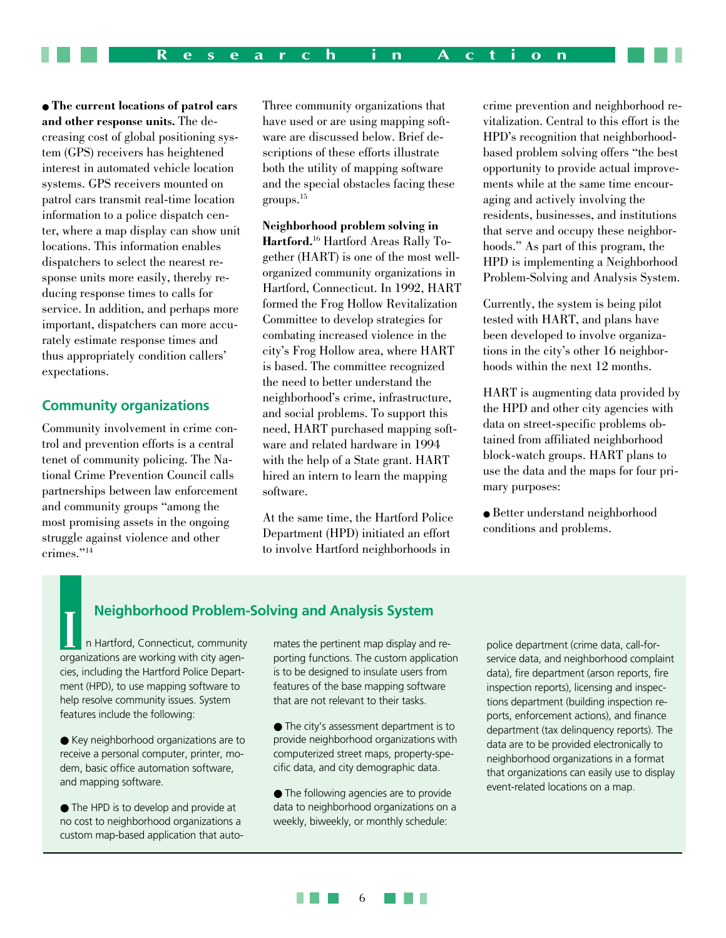● **The current locations of patrol cars and other response units.** The decreasing cost of global positioning system (GPS) receivers has heightened interest in automated vehicle location systems. GPS receivers mounted on patrol cars transmit real-time location information to a police dispatch center, where a map display can show unit locations. This information enables dispatchers to select the nearest response units more easily, thereby reducing response times to calls for service. In addition, and perhaps more important, dispatchers can more accurately estimate response times and thus appropriately condition callers' expectations.

#### **Community organizations**

Community involvement in crime control and prevention efforts is a central tenet of community policing. The National Crime Prevention Council calls partnerships between law enforcement and community groups "among the most promising assets in the ongoing struggle against violence and other crimes."14

Three community organizations that have used or are using mapping software are discussed below. Brief descriptions of these efforts illustrate both the utility of mapping software and the special obstacles facing these groups.15

**Neighborhood problem solving in Hartford.**16 Hartford Areas Rally Together (HART) is one of the most wellorganized community organizations in Hartford, Connecticut. In 1992, HART formed the Frog Hollow Revitalization Committee to develop strategies for combating increased violence in the city's Frog Hollow area, where HART is based. The committee recognized the need to better understand the neighborhood's crime, infrastructure, and social problems. To support this need, HART purchased mapping software and related hardware in 1994 with the help of a State grant. HART hired an intern to learn the mapping software.

At the same time, the Hartford Police Department (HPD) initiated an effort to involve Hartford neighborhoods in

crime prevention and neighborhood revitalization. Central to this effort is the HPD's recognition that neighborhoodbased problem solving offers "the best opportunity to provide actual improvements while at the same time encouraging and actively involving the residents, businesses, and institutions that serve and occupy these neighborhoods." As part of this program, the HPD is implementing a Neighborhood Problem-Solving and Analysis System.

Currently, the system is being pilot tested with HART, and plans have been developed to involve organizations in the city's other 16 neighborhoods within the next 12 months.

HART is augmenting data provided by the HPD and other city agencies with data on street-specific problems obtained from affiliated neighborhood block-watch groups. HART plans to use the data and the maps for four primary purposes:

• Better understand neighborhood conditions and problems.

## **Neighborhood Problem-Solving and Analysis System**<br> **Interpretise Analysis Article Analysis Article Analysis** Analysis Police department (crime data, call-for-<br> **Interpretise Analysis Article Analysis Article Analysis Arti**

n Hartford, Connecticut, community organizations are working with city agencies, including the Hartford Police Department (HPD), to use mapping software to help resolve community issues. System features include the following:

● Key neighborhood organizations are to receive a personal computer, printer, modem, basic office automation software, and mapping software.

● The HPD is to develop and provide at no cost to neighborhood organizations a custom map-based application that automates the pertinent map display and reporting functions. The custom application is to be designed to insulate users from features of the base mapping software that are not relevant to their tasks.

● The city's assessment department is to provide neighborhood organizations with computerized street maps, property-specific data, and city demographic data.

● The following agencies are to provide data to neighborhood organizations on a weekly, biweekly, or monthly schedule:

service data, and neighborhood complaint data), fire department (arson reports, fire inspection reports), licensing and inspections department (building inspection reports, enforcement actions), and finance department (tax delinquency reports). The data are to be provided electronically to neighborhood organizations in a format that organizations can easily use to display event-related locations on a map.

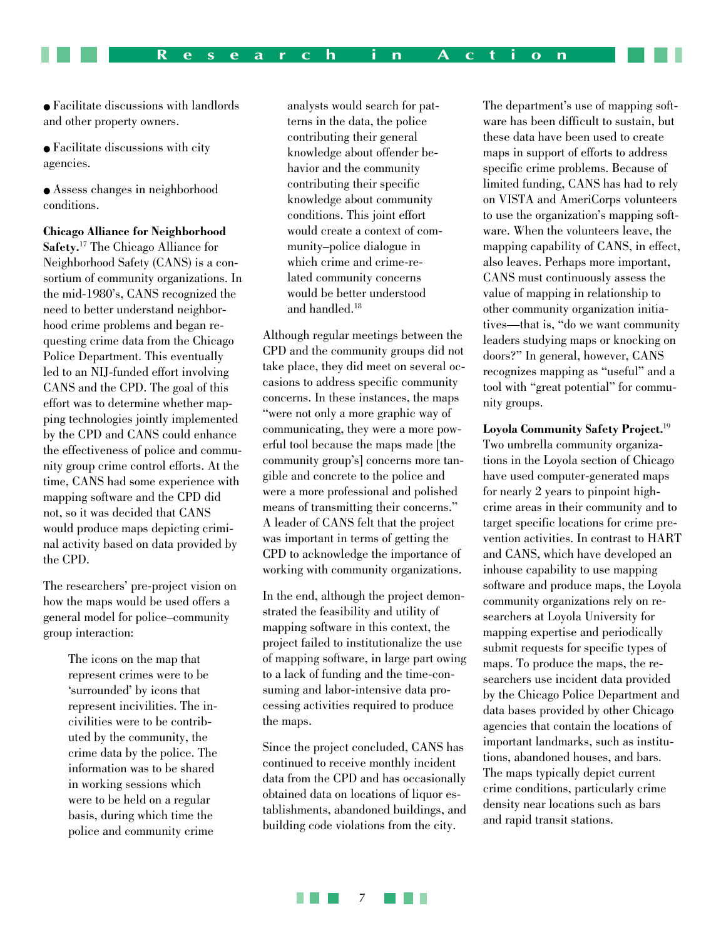● Facilitate discussions with landlords and other property owners.

● Facilitate discussions with city agencies.

● Assess changes in neighborhood conditions.

**Chicago Alliance for Neighborhood Safety.**17 The Chicago Alliance for Neighborhood Safety (CANS) is a consortium of community organizations. In the mid-1980's, CANS recognized the need to better understand neighborhood crime problems and began requesting crime data from the Chicago Police Department. This eventually led to an NIJ-funded effort involving CANS and the CPD. The goal of this effort was to determine whether mapping technologies jointly implemented by the CPD and CANS could enhance the effectiveness of police and community group crime control efforts. At the time, CANS had some experience with mapping software and the CPD did not, so it was decided that CANS would produce maps depicting criminal activity based on data provided by the CPD.

The researchers' pre-project vision on how the maps would be used offers a general model for police–community group interaction:

> The icons on the map that represent crimes were to be 'surrounded' by icons that represent incivilities. The incivilities were to be contributed by the community, the crime data by the police. The information was to be shared in working sessions which were to be held on a regular basis, during which time the police and community crime

analysts would search for patterns in the data, the police contributing their general knowledge about offender behavior and the community contributing their specific knowledge about community conditions. This joint effort would create a context of community–police dialogue in which crime and crime-related community concerns would be better understood and handled.18

Although regular meetings between the CPD and the community groups did not take place, they did meet on several occasions to address specific community concerns. In these instances, the maps "were not only a more graphic way of communicating, they were a more powerful tool because the maps made [the community group's] concerns more tangible and concrete to the police and were a more professional and polished means of transmitting their concerns." A leader of CANS felt that the project was important in terms of getting the CPD to acknowledge the importance of working with community organizations.

In the end, although the project demonstrated the feasibility and utility of mapping software in this context, the project failed to institutionalize the use of mapping software, in large part owing to a lack of funding and the time-consuming and labor-intensive data processing activities required to produce the maps.

Since the project concluded, CANS has continued to receive monthly incident data from the CPD and has occasionally obtained data on locations of liquor establishments, abandoned buildings, and building code violations from the city.

The department's use of mapping software has been difficult to sustain, but these data have been used to create maps in support of efforts to address specific crime problems. Because of limited funding, CANS has had to rely on VISTA and AmeriCorps volunteers to use the organization's mapping software. When the volunteers leave, the mapping capability of CANS, in effect, also leaves. Perhaps more important, CANS must continuously assess the value of mapping in relationship to other community organization initiatives—that is, "do we want community leaders studying maps or knocking on doors?" In general, however, CANS recognizes mapping as "useful" and a tool with "great potential" for community groups.

**Loyola Community Safety Project.**<sup>19</sup> Two umbrella community organizations in the Loyola section of Chicago have used computer-generated maps for nearly 2 years to pinpoint highcrime areas in their community and to target specific locations for crime prevention activities. In contrast to HART and CANS, which have developed an inhouse capability to use mapping software and produce maps, the Loyola community organizations rely on researchers at Loyola University for mapping expertise and periodically submit requests for specific types of maps. To produce the maps, the researchers use incident data provided by the Chicago Police Department and data bases provided by other Chicago agencies that contain the locations of important landmarks, such as institutions, abandoned houses, and bars. The maps typically depict current crime conditions, particularly crime density near locations such as bars and rapid transit stations.

martin 7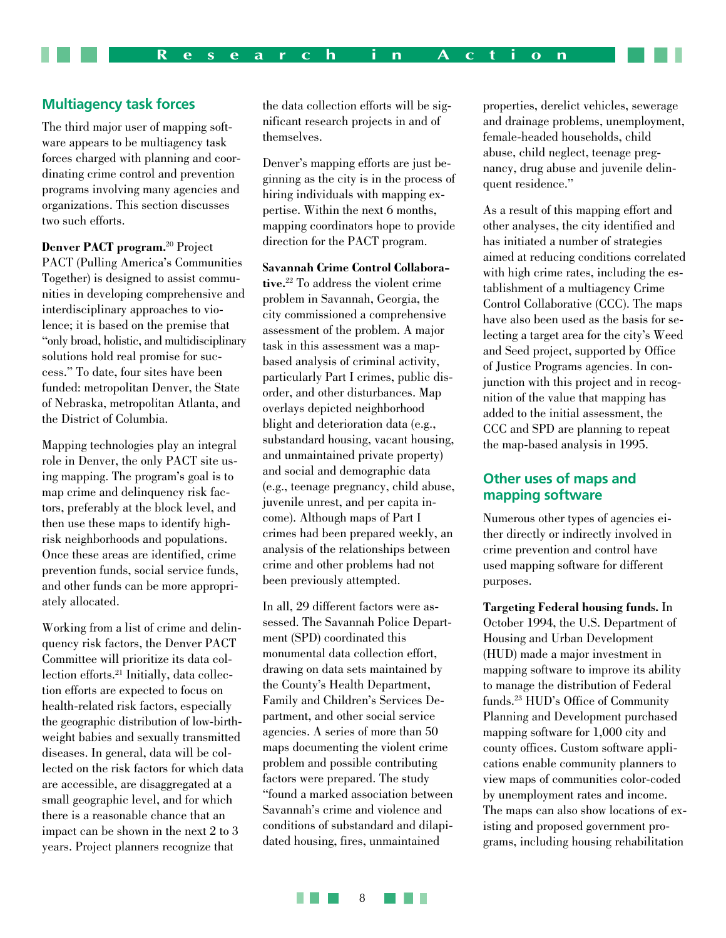#### **Multiagency task forces**

The third major user of mapping software appears to be multiagency task forces charged with planning and coordinating crime control and prevention programs involving many agencies and organizations. This section discusses two such efforts.

**Denver PACT program.**20 Project PACT (Pulling America's Communities Together) is designed to assist communities in developing comprehensive and interdisciplinary approaches to violence; it is based on the premise that "only broad, holistic, and multidisciplinary solutions hold real promise for success." To date, four sites have been funded: metropolitan Denver, the State of Nebraska, metropolitan Atlanta, and the District of Columbia.

Mapping technologies play an integral role in Denver, the only PACT site using mapping. The program's goal is to map crime and delinquency risk factors, preferably at the block level, and then use these maps to identify highrisk neighborhoods and populations. Once these areas are identified, crime prevention funds, social service funds, and other funds can be more appropriately allocated.

Working from a list of crime and delinquency risk factors, the Denver PACT Committee will prioritize its data collection efforts.<sup>21</sup> Initially, data collection efforts are expected to focus on health-related risk factors, especially the geographic distribution of low-birthweight babies and sexually transmitted diseases. In general, data will be collected on the risk factors for which data are accessible, are disaggregated at a small geographic level, and for which there is a reasonable chance that an impact can be shown in the next 2 to 3 years. Project planners recognize that

the data collection efforts will be significant research projects in and of themselves.

Denver's mapping efforts are just beginning as the city is in the process of hiring individuals with mapping expertise. Within the next 6 months, mapping coordinators hope to provide direction for the PACT program.

**Savannah Crime Control Collaborative.**22 To address the violent crime problem in Savannah, Georgia, the city commissioned a comprehensive assessment of the problem. A major task in this assessment was a mapbased analysis of criminal activity, particularly Part I crimes, public disorder, and other disturbances. Map overlays depicted neighborhood blight and deterioration data (e.g., substandard housing, vacant housing, and unmaintained private property) and social and demographic data (e.g., teenage pregnancy, child abuse, juvenile unrest, and per capita income). Although maps of Part I crimes had been prepared weekly, an analysis of the relationships between crime and other problems had not been previously attempted.

In all, 29 different factors were assessed. The Savannah Police Department (SPD) coordinated this monumental data collection effort, drawing on data sets maintained by the County's Health Department, Family and Children's Services Department, and other social service agencies. A series of more than 50 maps documenting the violent crime problem and possible contributing factors were prepared. The study "found a marked association between Savannah's crime and violence and conditions of substandard and dilapidated housing, fires, unmaintained

properties, derelict vehicles, sewerage and drainage problems, unemployment, female-headed households, child abuse, child neglect, teenage pregnancy, drug abuse and juvenile delinquent residence."

As a result of this mapping effort and other analyses, the city identified and has initiated a number of strategies aimed at reducing conditions correlated with high crime rates, including the establishment of a multiagency Crime Control Collaborative (CCC). The maps have also been used as the basis for selecting a target area for the city's Weed and Seed project, supported by Office of Justice Programs agencies. In conjunction with this project and in recognition of the value that mapping has added to the initial assessment, the CCC and SPD are planning to repeat the map-based analysis in 1995.

#### **Other uses of maps and mapping software**

Numerous other types of agencies either directly or indirectly involved in crime prevention and control have used mapping software for different purposes.

**Targeting Federal housing funds.** In October 1994, the U.S. Department of Housing and Urban Development (HUD) made a major investment in mapping software to improve its ability to manage the distribution of Federal funds.23 HUD's Office of Community Planning and Development purchased mapping software for 1,000 city and county offices. Custom software applications enable community planners to view maps of communities color-coded by unemployment rates and income. The maps can also show locations of existing and proposed government programs, including housing rehabilitation

**TELE** 8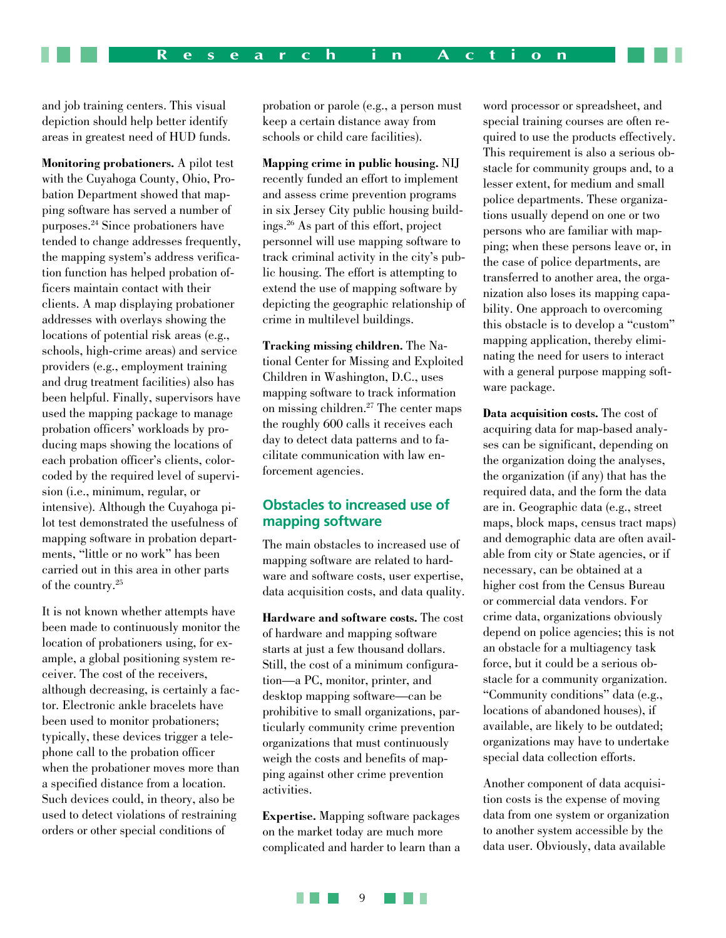and job training centers. This visual depiction should help better identify areas in greatest need of HUD funds.

**Monitoring probationers.** A pilot test with the Cuyahoga County, Ohio, Probation Department showed that mapping software has served a number of purposes.24 Since probationers have tended to change addresses frequently, the mapping system's address verification function has helped probation officers maintain contact with their clients. A map displaying probationer addresses with overlays showing the locations of potential risk areas (e.g., schools, high-crime areas) and service providers (e.g., employment training and drug treatment facilities) also has been helpful. Finally, supervisors have used the mapping package to manage probation officers' workloads by producing maps showing the locations of each probation officer's clients, colorcoded by the required level of supervision (i.e., minimum, regular, or intensive). Although the Cuyahoga pilot test demonstrated the usefulness of mapping software in probation departments, "little or no work" has been carried out in this area in other parts of the country.25

It is not known whether attempts have been made to continuously monitor the location of probationers using, for example, a global positioning system receiver. The cost of the receivers, although decreasing, is certainly a factor. Electronic ankle bracelets have been used to monitor probationers; typically, these devices trigger a telephone call to the probation officer when the probationer moves more than a specified distance from a location. Such devices could, in theory, also be used to detect violations of restraining orders or other special conditions of

probation or parole (e.g., a person must keep a certain distance away from schools or child care facilities).

**Mapping crime in public housing.** NIJ recently funded an effort to implement and assess crime prevention programs in six Jersey City public housing buildings.26 As part of this effort, project personnel will use mapping software to track criminal activity in the city's public housing. The effort is attempting to extend the use of mapping software by depicting the geographic relationship of crime in multilevel buildings.

**Tracking missing children.** The National Center for Missing and Exploited Children in Washington, D.C., uses mapping software to track information on missing children.27 The center maps the roughly 600 calls it receives each day to detect data patterns and to facilitate communication with law enforcement agencies.

#### **Obstacles to increased use of mapping software**

The main obstacles to increased use of mapping software are related to hardware and software costs, user expertise, data acquisition costs, and data quality.

**Hardware and software costs.** The cost of hardware and mapping software starts at just a few thousand dollars. Still, the cost of a minimum configuration—a PC, monitor, printer, and desktop mapping software—can be prohibitive to small organizations, particularly community crime prevention organizations that must continuously weigh the costs and benefits of mapping against other crime prevention activities.

**Expertise.** Mapping software packages on the market today are much more complicated and harder to learn than a word processor or spreadsheet, and special training courses are often required to use the products effectively. This requirement is also a serious obstacle for community groups and, to a lesser extent, for medium and small police departments. These organizations usually depend on one or two persons who are familiar with mapping; when these persons leave or, in the case of police departments, are transferred to another area, the organization also loses its mapping capability. One approach to overcoming this obstacle is to develop a "custom" mapping application, thereby eliminating the need for users to interact with a general purpose mapping software package.

**Data acquisition costs.** The cost of acquiring data for map-based analyses can be significant, depending on the organization doing the analyses, the organization (if any) that has the required data, and the form the data are in. Geographic data (e.g., street maps, block maps, census tract maps) and demographic data are often available from city or State agencies, or if necessary, can be obtained at a higher cost from the Census Bureau or commercial data vendors. For crime data, organizations obviously depend on police agencies; this is not an obstacle for a multiagency task force, but it could be a serious obstacle for a community organization. "Community conditions" data (e.g., locations of abandoned houses), if available, are likely to be outdated; organizations may have to undertake special data collection efforts.

Another component of data acquisition costs is the expense of moving data from one system or organization to another system accessible by the data user. Obviously, data available

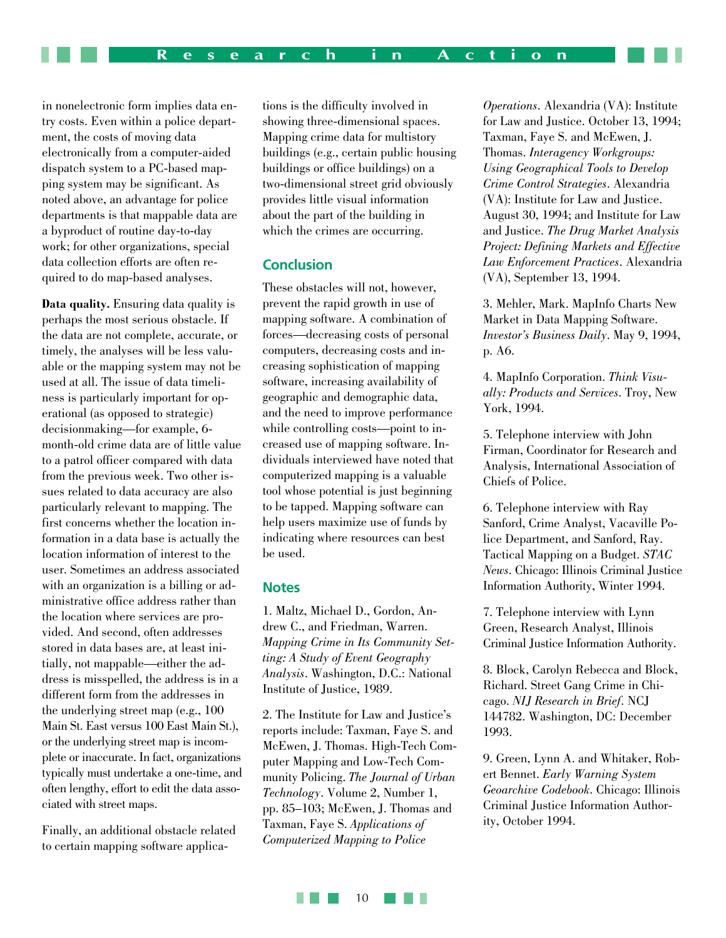in nonelectronic form implies data entry costs. Even within a police department, the costs of moving data electronically from a computer-aided dispatch system to a PC-based mapping system may be significant. As noted above, an advantage for police departments is that mappable data are a byproduct of routine day-to-day work; for other organizations, special data collection efforts are often required to do map-based analyses.

**Data quality.** Ensuring data quality is perhaps the most serious obstacle. If the data are not complete, accurate, or timely, the analyses will be less valuable or the mapping system may not be used at all. The issue of data timeliness is particularly important for operational (as opposed to strategic) decisionmaking—for example, 6 month-old crime data are of little value to a patrol officer compared with data from the previous week. Two other issues related to data accuracy are also particularly relevant to mapping. The first concerns whether the location information in a data base is actually the location information of interest to the user. Sometimes an address associated with an organization is a billing or administrative office address rather than the location where services are provided. And second, often addresses stored in data bases are, at least initially, not mappable—either the address is misspelled, the address is in a different form from the addresses in the underlying street map (e.g., 100 Main St. East versus 100 East Main St.), or the underlying street map is incomplete or inaccurate. In fact, organizations typically must undertake a one-time, and often lengthy, effort to edit the data associated with street maps.

Finally, an additional obstacle related to certain mapping software applications is the difficulty involved in showing three-dimensional spaces. Mapping crime data for multistory buildings (e.g., certain public housing buildings or office buildings) on a two-dimensional street grid obviously provides little visual information about the part of the building in which the crimes are occurring.

#### **Conclusion**

These obstacles will not, however, prevent the rapid growth in use of mapping software. A combination of forces—decreasing costs of personal computers, decreasing costs and increasing sophistication of mapping software, increasing availability of geographic and demographic data, and the need to improve performance while controlling costs—point to increased use of mapping software. Individuals interviewed have noted that computerized mapping is a valuable tool whose potential is just beginning to be tapped. Mapping software can help users maximize use of funds by indicating where resources can best be used.

#### **Notes**

1. Maltz, Michael D., Gordon, Andrew C., and Friedman, Warren. *Mapping Crime in Its Community Setting: A Study of Event Geography Analysis*. Washington, D.C.: National Institute of Justice, 1989.

2. The Institute for Law and Justice's reports include: Taxman, Faye S. and McEwen, J. Thomas. High-Tech Computer Mapping and Low-Tech Community Policing. *The Journal of Urban Technology*. Volume 2, Number 1, pp. 85–103; McEwen, J. Thomas and Taxman, Faye S. *Applications of Computerized Mapping to Police*

*Operations*. Alexandria (VA): Institute for Law and Justice. October 13, 1994; Taxman, Faye S. and McEwen, J. Thomas. *Interagency Workgroups: Using Geographical Tools to Develop Crime Control Strategies*. Alexandria (VA): Institute for Law and Justice. August 30, 1994; and Institute for Law and Justice. *The Drug Market Analysis Project: Defining Markets and Effective Law Enforcement Practices*. Alexandria (VA), September 13, 1994.

3. Mehler, Mark. MapInfo Charts New Market in Data Mapping Software. *Investor's Business Daily*. May 9, 1994, p. A6.

4. MapInfo Corporation. *Think Visually: Products and Services*. Troy, New York, 1994.

5. Telephone interview with John Firman, Coordinator for Research and Analysis, International Association of Chiefs of Police.

6. Telephone interview with Ray Sanford, Crime Analyst, Vacaville Police Department, and Sanford, Ray. Tactical Mapping on a Budget. *STAC News*. Chicago: Illinois Criminal Justice Information Authority, Winter 1994.

7. Telephone interview with Lynn Green, Research Analyst, Illinois Criminal Justice Information Authority.

8. Block, Carolyn Rebecca and Block, Richard. Street Gang Crime in Chicago. *NIJ Research in Brief*. NCJ 144782. Washington, DC: December 1993.

9. Green, Lynn A. and Whitaker, Robert Bennet. *Early Warning System Geoarchive Codebook*. Chicago: Illinois Criminal Justice Information Authority, October 1994.

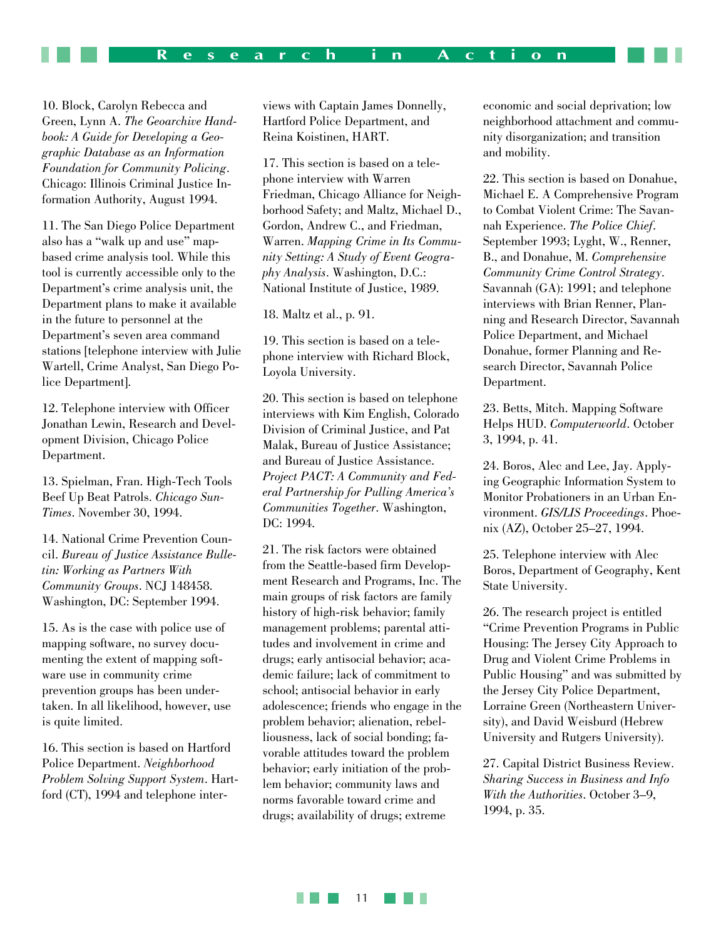10. Block, Carolyn Rebecca and Green, Lynn A. *The Geoarchive Handbook: A Guide for Developing a Geographic Database as an Information Foundation for Community Policing*. Chicago: Illinois Criminal Justice Information Authority, August 1994.

11. The San Diego Police Department also has a "walk up and use" mapbased crime analysis tool. While this tool is currently accessible only to the Department's crime analysis unit, the Department plans to make it available in the future to personnel at the Department's seven area command stations [telephone interview with Julie Wartell, Crime Analyst, San Diego Police Department].

12. Telephone interview with Officer Jonathan Lewin, Research and Development Division, Chicago Police Department.

13. Spielman, Fran. High-Tech Tools Beef Up Beat Patrols. *Chicago Sun-Times*. November 30, 1994.

14. National Crime Prevention Council. *Bureau of Justice Assistance Bulletin: Working as Partners With Community Groups*. NCJ 148458. Washington, DC: September 1994.

15. As is the case with police use of mapping software, no survey documenting the extent of mapping software use in community crime prevention groups has been undertaken. In all likelihood, however, use is quite limited.

16. This section is based on Hartford Police Department. *Neighborhood Problem Solving Support System*. Hartford (CT), 1994 and telephone interviews with Captain James Donnelly, Hartford Police Department, and Reina Koistinen, HART.

17. This section is based on a telephone interview with Warren Friedman, Chicago Alliance for Neighborhood Safety; and Maltz, Michael D., Gordon, Andrew C., and Friedman, Warren. *Mapping Crime in Its Community Setting: A Study of Event Geography Analysis*. Washington, D.C.: National Institute of Justice, 1989.

18. Maltz et al., p. 91.

19. This section is based on a telephone interview with Richard Block, Loyola University.

20. This section is based on telephone interviews with Kim English, Colorado Division of Criminal Justice, and Pat Malak, Bureau of Justice Assistance; and Bureau of Justice Assistance. *Project PACT: A Community and Federal Partnership for Pulling America's Communities Together*. Washington, DC: 1994.

21. The risk factors were obtained from the Seattle-based firm Development Research and Programs, Inc. The main groups of risk factors are family history of high-risk behavior; family management problems; parental attitudes and involvement in crime and drugs; early antisocial behavior; academic failure; lack of commitment to school; antisocial behavior in early adolescence; friends who engage in the problem behavior; alienation, rebelliousness, lack of social bonding; favorable attitudes toward the problem behavior; early initiation of the problem behavior; community laws and norms favorable toward crime and drugs; availability of drugs; extreme

economic and social deprivation; low neighborhood attachment and community disorganization; and transition and mobility.

22. This section is based on Donahue, Michael E. A Comprehensive Program to Combat Violent Crime: The Savannah Experience. *The Police Chief*. September 1993; Lyght, W., Renner, B., and Donahue, M. *Comprehensive Community Crime Control Strategy*. Savannah (GA): 1991; and telephone interviews with Brian Renner, Planning and Research Director, Savannah Police Department, and Michael Donahue, former Planning and Research Director, Savannah Police Department.

23. Betts, Mitch. Mapping Software Helps HUD. *Computerworld*. October 3, 1994, p. 41.

24. Boros, Alec and Lee, Jay. Applying Geographic Information System to Monitor Probationers in an Urban Environment. *GIS/LIS Proceedings*. Phoenix (AZ), October 25–27, 1994.

25. Telephone interview with Alec Boros, Department of Geography, Kent State University.

26. The research project is entitled "Crime Prevention Programs in Public Housing: The Jersey City Approach to Drug and Violent Crime Problems in Public Housing" and was submitted by the Jersey City Police Department, Lorraine Green (Northeastern University), and David Weisburd (Hebrew University and Rutgers University).

27. Capital District Business Review. *Sharing Success in Business and Info With the Authorities*. October 3–9, 1994, p. 35.